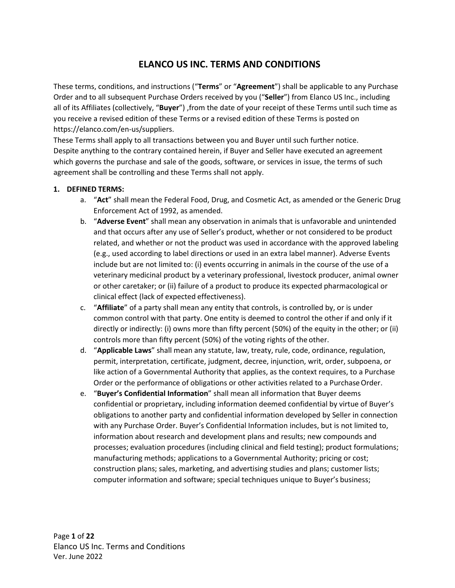# **ELANCO US INC. TERMS AND CONDITIONS**

These terms, conditions, and instructions ("**Terms**" or "**Agreement**") shall be applicable to any Purchase Order and to all subsequent Purchase Orders received by you ("**Seller**") from Elanco US Inc., including all of its Affiliates (collectively, "**Buyer**") ,from the date of your receipt of these Terms until such time as you receive a revised edition of these Terms or a revised edition of these Terms is posted on [https://elanco.com/en-us/suppliers.](http://suppliers.elanco.com/)

These Terms shall apply to all transactions between you and Buyer until such further notice. Despite anything to the contrary contained herein, if Buyer and Seller have executed an agreement which governs the purchase and sale of the goods, software, or services in issue, the terms of such agreement shall be controlling and these Terms shall not apply.

## **1. DEFINED TERMS:**

- a. "**Act**" shall mean the Federal Food, Drug, and Cosmetic Act, as amended or the Generic Drug Enforcement Act of 1992, as amended.
- b. "**Adverse Event**" shall mean any observation in animals that is unfavorable and unintended and that occurs after any use of Seller's product, whether or not considered to be product related, and whether or not the product was used in accordance with the approved labeling (e.g., used according to label directions or used in an extra label manner). Adverse Events include but are not limited to: (i) events occurring in animals in the course of the use of a veterinary medicinal product by a veterinary professional, livestock producer, animal owner or other caretaker; or (ii) failure of a product to produce its expected pharmacological or clinical effect (lack of expected effectiveness).
- c. "**Affiliate**" of a party shall mean any entity that controls, is controlled by, or is under common control with that party. One entity is deemed to control the other if and only if it directly or indirectly: (i) owns more than fifty percent (50%) of the equity in the other; or (ii) controls more than fifty percent (50%) of the voting rights of the other.
- d. "**Applicable Laws**" shall mean any statute, law, treaty, rule, code, ordinance, regulation, permit, interpretation, certificate, judgment, decree, injunction, writ, order, subpoena, or like action of a Governmental Authority that applies, as the context requires, to a Purchase Order or the performance of obligations or other activities related to a Purchase Order.
- e. "**Buyer's Confidential Information**" shall mean all information that Buyer deems confidential or proprietary, including information deemed confidential by virtue of Buyer's obligations to another party and confidential information developed by Seller in connection with any Purchase Order. Buyer's Confidential Information includes, but is not limited to, information about research and development plans and results; new compounds and processes; evaluation procedures (including clinical and field testing); product formulations; manufacturing methods; applications to a Governmental Authority; pricing or cost; construction plans; sales, marketing, and advertising studies and plans; customer lists; computer information and software; special techniques unique to Buyer's business;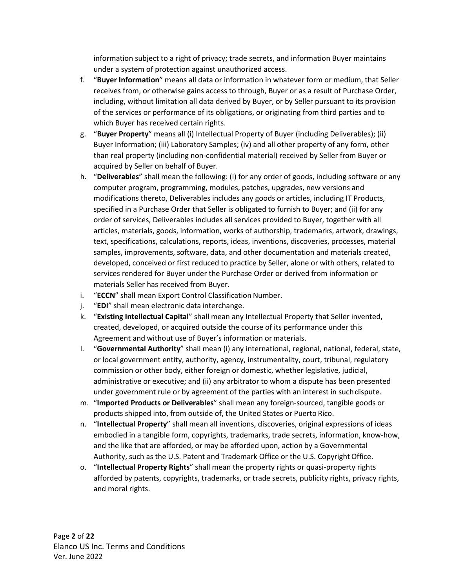information subject to a right of privacy; trade secrets, and information Buyer maintains under a system of protection against unauthorized access.

- f. "**Buyer Information**" means all data or information in whatever form or medium, that Seller receives from, or otherwise gains access to through, Buyer or as a result of Purchase Order, including, without limitation all data derived by Buyer, or by Seller pursuant to its provision of the services or performance of its obligations, or originating from third parties and to which Buyer has received certain rights.
- g. "**Buyer Property**" means all (i) Intellectual Property of Buyer (including Deliverables); (ii) Buyer Information; (iii) Laboratory Samples; (iv) and all other property of any form, other than real property (including non-confidential material) received by Seller from Buyer or acquired by Seller on behalf of Buyer.
- h. "**Deliverables**" shall mean the following: (i) for any order of goods, including software or any computer program, programming, modules, patches, upgrades, new versions and modifications thereto, Deliverables includes any goods or articles, including IT Products, specified in a Purchase Order that Seller is obligated to furnish to Buyer; and (ii) for any order of services, Deliverables includes all services provided to Buyer, together with all articles, materials, goods, information, works of authorship, trademarks, artwork, drawings, text, specifications, calculations, reports, ideas, inventions, discoveries, processes, material samples, improvements, software, data, and other documentation and materials created, developed, conceived or first reduced to practice by Seller, alone or with others, related to services rendered for Buyer under the Purchase Order or derived from information or materials Seller has received from Buyer.
- i. "**ECCN**" shall mean Export Control Classification Number.
- j. "**EDI**" shall mean electronic data interchange.
- k. "**Existing Intellectual Capital**" shall mean any Intellectual Property that Seller invented, created, developed, or acquired outside the course of its performance under this Agreement and without use of Buyer's information or materials.
- l. "**Governmental Authority**" shall mean (i) any international, regional, national, federal, state, or local government entity, authority, agency, instrumentality, court, tribunal, regulatory commission or other body, either foreign or domestic, whether legislative, judicial, administrative or executive; and (ii) any arbitrator to whom a dispute has been presented under government rule or by agreement of the parties with an interest in suchdispute.
- m. "**Imported Products or Deliverables**" shall mean any foreign-sourced, tangible goods or products shipped into, from outside of, the United States or Puerto Rico.
- n. "**Intellectual Property**" shall mean all inventions, discoveries, original expressions of ideas embodied in a tangible form, copyrights, trademarks, trade secrets, information, know-how, and the like that are afforded, or may be afforded upon, action by a Governmental Authority, such as the U.S. Patent and Trademark Office or the U.S. Copyright Office.
- o. "**Intellectual Property Rights**" shall mean the property rights or quasi-property rights afforded by patents, copyrights, trademarks, or trade secrets, publicity rights, privacy rights, and moral rights.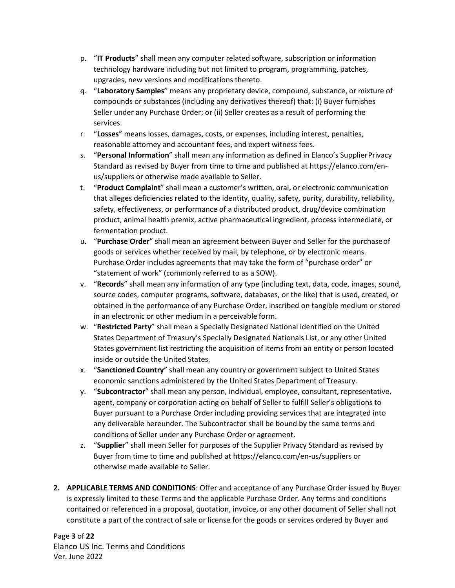- p. "**IT Products**" shall mean any computer related software, subscription or information technology hardware including but not limited to program, programming, patches, upgrades, new versions and modifications thereto.
- q. "**Laboratory Samples**" means any proprietary device, compound, substance, or mixture of compounds or substances (including any derivatives thereof) that: (i) Buyer furnishes Seller under any Purchase Order; or (ii) Seller creates as a result of performing the services.
- r. "**Losses**" means losses, damages, costs, or expenses, including interest, penalties, reasonable attorney and accountant fees, and expert witness fees.
- s. "**Personal Information**" shall mean any information as defined in Elanco's SupplierPrivacy Standard as revised by Buyer from time to time and published at https://elanco.com/enus/suppliers or otherwise made available to Seller.
- t. "**Product Complaint**" shall mean a customer's written, oral, or electronic communication that alleges deficiencies related to the identity, quality, safety, purity, durability, reliability, safety, effectiveness, or performance of a distributed product, drug/device combination product, animal health premix, active pharmaceutical ingredient, process intermediate, or fermentation product.
- u. "**Purchase Order**" shall mean an agreement between Buyer and Seller for the purchaseof goods or services whether received by mail, by telephone, or by electronic means. Purchase Order includes agreements that may take the form of "purchase order" or "statement of work" (commonly referred to as a SOW).
- v. "**Records**" shall mean any information of any type (including text, data, code, images, sound, source codes, computer programs, software, databases, or the like) that is used, created, or obtained in the performance of any Purchase Order, inscribed on tangible medium or stored in an electronic or other medium in a perceivable form.
- w. "**Restricted Party**" shall mean a Specially Designated National identified on the United States Department of Treasury's Specially Designated Nationals List, or any other United States government list restricting the acquisition of items from an entity or person located inside or outside the United States.
- x. "**Sanctioned Country**" shall mean any country or government subject to United States economic sanctions administered by the United States Department of Treasury.
- y. "**Subcontractor**" shall mean any person, individual, employee, consultant, representative, agent, company or corporation acting on behalf of Seller to fulfill Seller's obligations to Buyer pursuant to a Purchase Order including providing services that are integrated into any deliverable hereunder. The Subcontractor shall be bound by the same terms and conditions of Seller under any Purchase Order or agreement.
- z. "**Supplier**" shall mean Seller for purposes of the Supplier Privacy Standard as revised by Buyer from time to time and published at https://elanco.com/en-us/suppliers or otherwise made available to Seller.
- **2. APPLICABLE TERMS AND CONDITIONS**: Offer and acceptance of any Purchase Order issued by Buyer is expressly limited to these Terms and the applicable Purchase Order. Any terms and conditions contained or referenced in a proposal, quotation, invoice, or any other document of Seller shall not constitute a part of the contract of sale or license for the goods or services ordered by Buyer and

Page **3** of **22** Elanco US Inc. Terms and Conditions Ver. June 2022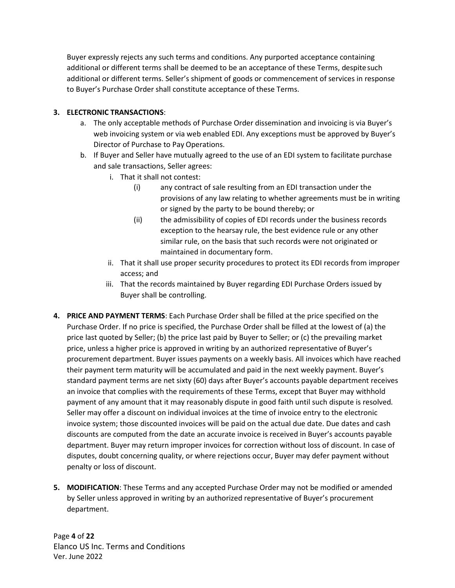Buyer expressly rejects any such terms and conditions. Any purported acceptance containing additional or different terms shall be deemed to be an acceptance of these Terms, despitesuch additional or different terms. Seller's shipment of goods or commencement of services in response to Buyer's Purchase Order shall constitute acceptance of these Terms.

# **3. ELECTRONIC TRANSACTIONS**:

- a. The only acceptable methods of Purchase Order dissemination and invoicing is via Buyer's web invoicing system or via web enabled EDI. Any exceptions must be approved by Buyer's Director of Purchase to Pay Operations.
- b. If Buyer and Seller have mutually agreed to the use of an EDI system to facilitate purchase and sale transactions, Seller agrees:
	- i. That it shall not contest:
		- (i) any contract of sale resulting from an EDI transaction under the provisions of any law relating to whether agreements must be in writing or signed by the party to be bound thereby; or
		- (ii) the admissibility of copies of EDI records under the business records exception to the hearsay rule, the best evidence rule or any other similar rule, on the basis that such records were not originated or maintained in documentary form.
	- ii. That it shall use proper security procedures to protect its EDI records from improper access; and
	- iii. That the records maintained by Buyer regarding EDI Purchase Orders issued by Buyer shall be controlling.
- **4. PRICE AND PAYMENT TERMS**: Each Purchase Order shall be filled at the price specified on the Purchase Order. If no price is specified, the Purchase Order shall be filled at the lowest of (a) the price last quoted by Seller; (b) the price last paid by Buyer to Seller; or (c) the prevailing market price, unless a higher price is approved in writing by an authorized representative of Buyer's procurement department. Buyer issues payments on a weekly basis. All invoices which have reached their payment term maturity will be accumulated and paid in the next weekly payment. Buyer's standard payment terms are net sixty (60) days after Buyer's accounts payable department receives an invoice that complies with the requirements of these Terms, except that Buyer may withhold payment of any amount that it may reasonably dispute in good faith until such dispute is resolved*.* Seller may offer a discount on individual invoices at the time of invoice entry to the electronic invoice system; those discounted invoices will be paid on the actual due date. Due dates and cash discounts are computed from the date an accurate invoice is received in Buyer's accounts payable department. Buyer may return improper invoices for correction without loss of discount. In case of disputes, doubt concerning quality, or where rejections occur, Buyer may defer payment without penalty or loss of discount.
- **5. MODIFICATION**: These Terms and any accepted Purchase Order may not be modified or amended by Seller unless approved in writing by an authorized representative of Buyer's procurement department.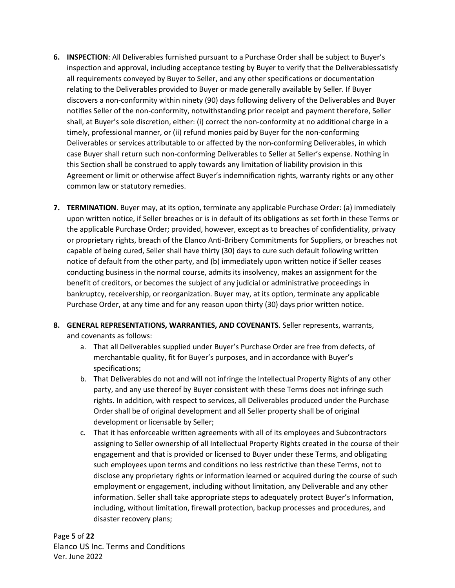- **6. INSPECTION**: All Deliverables furnished pursuant to a Purchase Order shall be subject to Buyer's inspection and approval, including acceptance testing by Buyer to verify that the Deliverablessatisfy all requirements conveyed by Buyer to Seller, and any other specifications or documentation relating to the Deliverables provided to Buyer or made generally available by Seller. If Buyer discovers a non-conformity within ninety (90) days following delivery of the Deliverables and Buyer notifies Seller of the non-conformity, notwithstanding prior receipt and payment therefore, Seller shall, at Buyer's sole discretion, either: (i) correct the non-conformity at no additional charge in a timely, professional manner, or (ii) refund monies paid by Buyer for the non-conforming Deliverables or services attributable to or affected by the non-conforming Deliverables, in which case Buyer shall return such non-conforming Deliverables to Seller at Seller's expense. Nothing in this Section shall be construed to apply towards any limitation of liability provision in this Agreement or limit or otherwise affect Buyer's indemnification rights, warranty rights or any other common law or statutory remedies.
- **7. TERMINATION**. Buyer may, at its option, terminate any applicable Purchase Order: (a) immediately upon written notice, if Seller breaches or is in default of its obligations as set forth in these Terms or the applicable Purchase Order; provided, however, except as to breaches of confidentiality, privacy or proprietary rights, breach of the Elanco Anti-Bribery Commitments for Suppliers, or breaches not capable of being cured, Seller shall have thirty (30) days to cure such default following written notice of default from the other party, and (b) immediately upon written notice if Seller ceases conducting business in the normal course, admits its insolvency, makes an assignment for the benefit of creditors, or becomes the subject of any judicial or administrative proceedings in bankruptcy, receivership, or reorganization. Buyer may, at its option, terminate any applicable Purchase Order, at any time and for any reason upon thirty (30) days prior written notice.
- **8. GENERAL REPRESENTATIONS, WARRANTIES, AND COVENANTS**. Seller represents, warrants, and covenants as follows:
	- a. That all Deliverables supplied under Buyer's Purchase Order are free from defects, of merchantable quality, fit for Buyer's purposes, and in accordance with Buyer's specifications;
	- b. That Deliverables do not and will not infringe the Intellectual Property Rights of any other party, and any use thereof by Buyer consistent with these Terms does not infringe such rights. In addition, with respect to services, all Deliverables produced under the Purchase Order shall be of original development and all Seller property shall be of original development or licensable by Seller;
	- c. That it has enforceable written agreements with all of its employees and Subcontractors assigning to Seller ownership of all Intellectual Property Rights created in the course of their engagement and that is provided or licensed to Buyer under these Terms, and obligating such employees upon terms and conditions no less restrictive than these Terms, not to disclose any proprietary rights or information learned or acquired during the course of such employment or engagement, including without limitation, any Deliverable and any other information. Seller shall take appropriate steps to adequately protect Buyer's Information, including, without limitation, firewall protection, backup processes and procedures, and disaster recovery plans;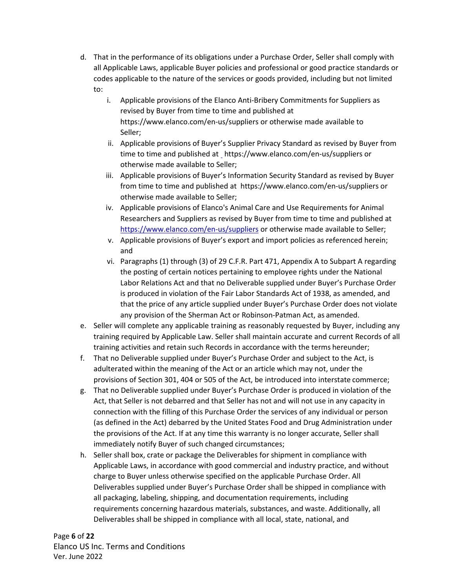- d. That in the performance of its obligations under a Purchase Order, Seller shall comply with all Applicable Laws, applicable Buyer policies and professional or good practice standards or codes applicable to the nature of the services or goods provided, including but not limited to:
	- i. Applicable provisions of the Elanco Anti-Bribery Commitments for Suppliers as revised by Buyer from time to time and published a[t](http://suppliers.elanco.com/) https://www.elanco.com/en-us/suppliers or otherwise made available to Seller;
	- ii. Applicable provisions of Buyer's Supplier Privacy Standard as revised by Buyer from time to time and published at \_https://www.elanco.com/en-us/suppliers or otherwise made available to Seller;
	- iii. Applicable provisions of Buyer's Information Security Standard as revised by Buyer from time to time and published at https://www.elanco.com/en-us/suppliers or otherwise made available to Seller;
	- iv. Applicable provisions of Elanco's Animal Care and Use Requirements for Animal Researchers and Suppliers as revised by Buyer from time to time and published at <https://www.elanco.com/en-us/suppliers> or otherwise made available to Seller;
	- v. Applicable provisions of Buyer's export and import policies as referenced herein; and
	- vi. Paragraphs (1) through (3) of 29 C.F.R. Part 471, Appendix A to Subpart A regarding the posting of certain notices pertaining to employee rights under the National Labor Relations Act and that no Deliverable supplied under Buyer's Purchase Order is produced in violation of the Fair Labor Standards Act of 1938, as amended, and that the price of any article supplied under Buyer's Purchase Order does not violate any provision of the Sherman Act or Robinson-Patman Act, as amended.
- e. Seller will complete any applicable training as reasonably requested by Buyer, including any training required by Applicable Law. Seller shall maintain accurate and current Records of all training activities and retain such Records in accordance with the terms hereunder;
- f. That no Deliverable supplied under Buyer's Purchase Order and subject to the Act, is adulterated within the meaning of the Act or an article which may not, under the provisions of Section 301, 404 or 505 of the Act, be introduced into interstate commerce;
- g. That no Deliverable supplied under Buyer's Purchase Order is produced in violation of the Act, that Seller is not debarred and that Seller has not and will not use in any capacity in connection with the filling of this Purchase Order the services of any individual or person (as defined in the Act) debarred by the United States Food and Drug Administration under the provisions of the Act. If at any time this warranty is no longer accurate, Seller shall immediately notify Buyer of such changed circumstances;
- h. Seller shall box, crate or package the Deliverables for shipment in compliance with Applicable Laws, in accordance with good commercial and industry practice, and without charge to Buyer unless otherwise specified on the applicable Purchase Order. All Deliverables supplied under Buyer's Purchase Order shall be shipped in compliance with all packaging, labeling, shipping, and documentation requirements, including requirements concerning hazardous materials, substances, and waste. Additionally, all Deliverables shall be shipped in compliance with all local, state, national, and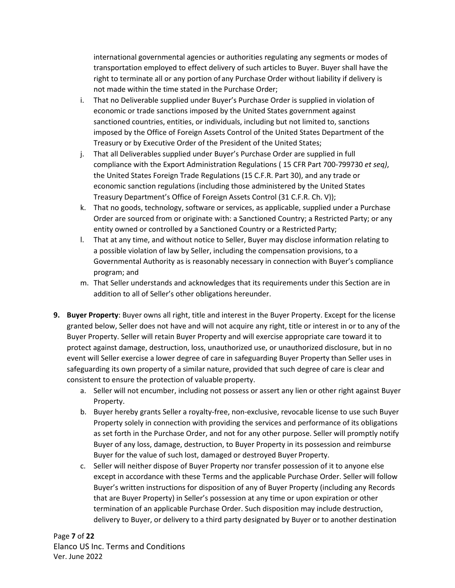international governmental agencies or authorities regulating any segments or modes of transportation employed to effect delivery of such articles to Buyer. Buyer shall have the right to terminate all or any portion of any Purchase Order without liability if delivery is not made within the time stated in the Purchase Order;

- i. That no Deliverable supplied under Buyer's Purchase Order is supplied in violation of economic or trade sanctions imposed by the United States government against sanctioned countries, entities, or individuals, including but not limited to, sanctions imposed by the Office of Foreign Assets Control of the United States Department of the Treasury or by Executive Order of the President of the United States;
- j. That all Deliverables supplied under Buyer's Purchase Order are supplied in full compliance with the Export Administration Regulations ( 15 CFR Part 700-799730 *et seq)*, the United States Foreign Trade Regulations (15 C.F.R. Part 30), and any trade or economic sanction regulations (including those administered by the United States Treasury Department's Office of Foreign Assets Control (31 C.F.R. Ch. V));
- k. That no goods, technology, software or services, as applicable, supplied under a Purchase Order are sourced from or originate with: a Sanctioned Country; a Restricted Party; or any entity owned or controlled by a Sanctioned Country or a Restricted Party;
- l. That at any time, and without notice to Seller, Buyer may disclose information relating to a possible violation of law by Seller, including the compensation provisions, to a Governmental Authority as is reasonably necessary in connection with Buyer's compliance program; and
- m. That Seller understands and acknowledges that its requirements under this Section are in addition to all of Seller's other obligations hereunder.
- **9. Buyer Property**: Buyer owns all right, title and interest in the Buyer Property. Except for the license granted below, Seller does not have and will not acquire any right, title or interest in or to any of the Buyer Property. Seller will retain Buyer Property and will exercise appropriate care toward it to protect against damage, destruction, loss, unauthorized use, or unauthorized disclosure, but in no event will Seller exercise a lower degree of care in safeguarding Buyer Property than Seller uses in safeguarding its own property of a similar nature, provided that such degree of care is clear and consistent to ensure the protection of valuable property.
	- a. Seller will not encumber, including not possess or assert any lien or other right against Buyer Property.
	- b. Buyer hereby grants Seller a royalty-free, non-exclusive, revocable license to use such Buyer Property solely in connection with providing the services and performance of its obligations as set forth in the Purchase Order, and not for any other purpose. Seller will promptly notify Buyer of any loss, damage, destruction, to Buyer Property in its possession and reimburse Buyer for the value of such lost, damaged or destroyed Buyer Property.
	- c. Seller will neither dispose of Buyer Property nor transfer possession of it to anyone else except in accordance with these Terms and the applicable Purchase Order. Seller will follow Buyer's written instructions for disposition of any of Buyer Property (including any Records that are Buyer Property) in Seller's possession at any time or upon expiration or other termination of an applicable Purchase Order. Such disposition may include destruction, delivery to Buyer, or delivery to a third party designated by Buyer or to another destination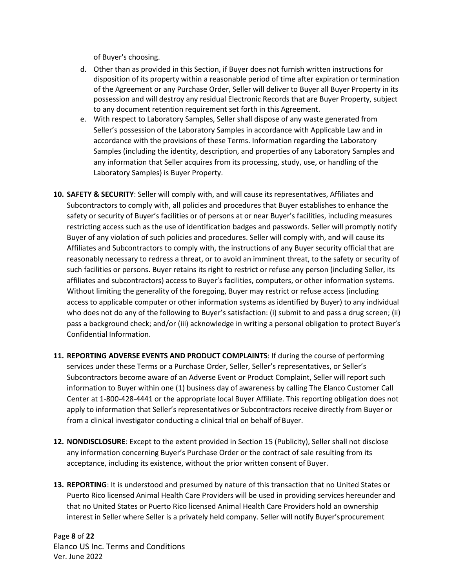of Buyer's choosing.

- d. Other than as provided in this Section, if Buyer does not furnish written instructions for disposition of its property within a reasonable period of time after expiration or termination of the Agreement or any Purchase Order, Seller will deliver to Buyer all Buyer Property in its possession and will destroy any residual Electronic Records that are Buyer Property, subject to any document retention requirement set forth in this Agreement.
- e. With respect to Laboratory Samples, Seller shall dispose of any waste generated from Seller's possession of the Laboratory Samples in accordance with Applicable Law and in accordance with the provisions of these Terms. Information regarding the Laboratory Samples (including the identity, description, and properties of any Laboratory Samples and any information that Seller acquires from its processing, study, use, or handling of the Laboratory Samples) is Buyer Property.
- **10. SAFETY & SECURITY**: Seller will comply with, and will cause its representatives, Affiliates and Subcontractors to comply with, all policies and procedures that Buyer establishes to enhance the safety or security of Buyer's facilities or of persons at or near Buyer's facilities, including measures restricting access such as the use of identification badges and passwords. Seller will promptly notify Buyer of any violation of such policies and procedures. Seller will comply with, and will cause its Affiliates and Subcontractors to comply with, the instructions of any Buyer security official that are reasonably necessary to redress a threat, or to avoid an imminent threat, to the safety or security of such facilities or persons. Buyer retains its right to restrict or refuse any person (including Seller, its affiliates and subcontractors) access to Buyer's facilities, computers, or other information systems. Without limiting the generality of the foregoing, Buyer may restrict or refuse access (including access to applicable computer or other information systems as identified by Buyer) to any individual who does not do any of the following to Buyer's satisfaction: (i) submit to and pass a drug screen; (ii) pass a background check; and/or (iii) acknowledge in writing a personal obligation to protect Buyer's Confidential Information.
- **11. REPORTING ADVERSE EVENTS AND PRODUCT COMPLAINTS**: If during the course of performing services under these Terms or a Purchase Order, Seller, Seller's representatives, or Seller's Subcontractors become aware of an Adverse Event or Product Complaint, Seller will report such information to Buyer within one (1) business day of awareness by calling The Elanco Customer Call Center at 1-800-428-4441 or the appropriate local Buyer Affiliate. This reporting obligation does not apply to information that Seller's representatives or Subcontractors receive directly from Buyer or from a clinical investigator conducting a clinical trial on behalf of Buyer.
- **12. NONDISCLOSURE**: Except to the extent provided in Section 15 (Publicity), Seller shall not disclose any information concerning Buyer's Purchase Order or the contract of sale resulting from its acceptance, including its existence, without the prior written consent of Buyer.
- **13. REPORTING**: It is understood and presumed by nature of this transaction that no United States or Puerto Rico licensed Animal Health Care Providers will be used in providing services hereunder and that no United States or Puerto Rico licensed Animal Health Care Providers hold an ownership interest in Seller where Seller is a privately held company. Seller will notify Buyer'sprocurement

Page **8** of **22** Elanco US Inc. Terms and Conditions Ver. June 2022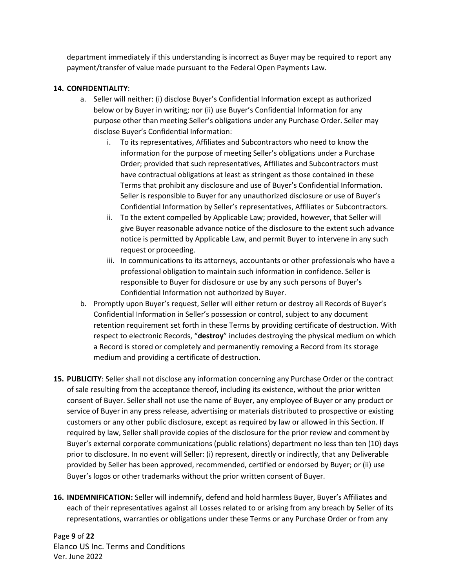department immediately if this understanding is incorrect as Buyer may be required to report any payment/transfer of value made pursuant to the Federal Open Payments Law.

## **14. CONFIDENTIALITY**:

- a. Seller will neither: (i) disclose Buyer's Confidential Information except as authorized below or by Buyer in writing; nor (ii) use Buyer's Confidential Information for any purpose other than meeting Seller's obligations under any Purchase Order. Seller may disclose Buyer's Confidential Information:
	- i. To its representatives, Affiliates and Subcontractors who need to know the information for the purpose of meeting Seller's obligations under a Purchase Order; provided that such representatives, Affiliates and Subcontractors must have contractual obligations at least as stringent as those contained in these Terms that prohibit any disclosure and use of Buyer's Confidential Information. Seller is responsible to Buyer for any unauthorized disclosure or use of Buyer's Confidential Information by Seller's representatives, Affiliates or Subcontractors.
	- ii. To the extent compelled by Applicable Law; provided, however, that Seller will give Buyer reasonable advance notice of the disclosure to the extent such advance notice is permitted by Applicable Law, and permit Buyer to intervene in any such request or proceeding.
	- iii. In communications to its attorneys, accountants or other professionals who have a professional obligation to maintain such information in confidence. Seller is responsible to Buyer for disclosure or use by any such persons of Buyer's Confidential Information not authorized by Buyer.
- b. Promptly upon Buyer's request, Seller will either return or destroy all Records of Buyer's Confidential Information in Seller's possession or control, subject to any document retention requirement set forth in these Terms by providing certificate of destruction. With respect to electronic Records, "**destroy**" includes destroying the physical medium on which a Record is stored or completely and permanently removing a Record from its storage medium and providing a certificate of destruction.
- **15. PUBLICITY**: Seller shall not disclose any information concerning any Purchase Order or the contract of sale resulting from the acceptance thereof, including its existence, without the prior written consent of Buyer. Seller shall not use the name of Buyer, any employee of Buyer or any product or service of Buyer in any press release, advertising or materials distributed to prospective or existing customers or any other public disclosure, except as required by law or allowed in this Section. If required by law, Seller shall provide copies of the disclosure for the prior review and commentby Buyer's external corporate communications (public relations) department no less than ten (10) days prior to disclosure. In no event will Seller: (i) represent, directly or indirectly, that any Deliverable provided by Seller has been approved, recommended, certified or endorsed by Buyer; or (ii) use Buyer's logos or other trademarks without the prior written consent of Buyer.
- **16. INDEMNIFICATION:** Seller will indemnify, defend and hold harmless Buyer, Buyer's Affiliates and each of their representatives against all Losses related to or arising from any breach by Seller of its representations, warranties or obligations under these Terms or any Purchase Order or from any

Page **9** of **22** Elanco US Inc. Terms and Conditions Ver. June 2022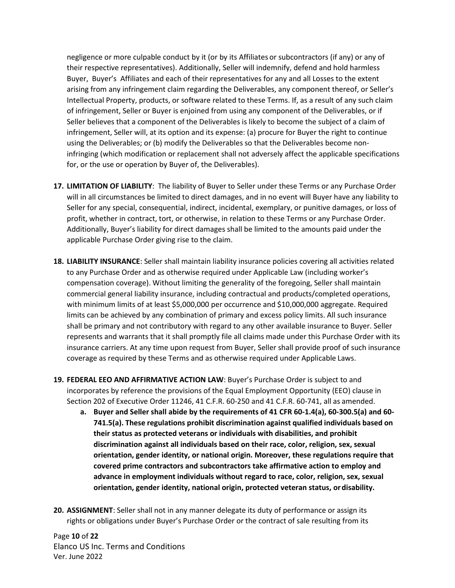negligence or more culpable conduct by it (or by its Affiliates or subcontractors (if any) or any of their respective representatives). Additionally, Seller will indemnify, defend and hold harmless Buyer, Buyer's Affiliates and each of their representatives for any and all Losses to the extent arising from any infringement claim regarding the Deliverables, any component thereof, or Seller's Intellectual Property, products, or software related to these Terms. If, as a result of any such claim of infringement, Seller or Buyer is enjoined from using any component of the Deliverables, or if Seller believes that a component of the Deliverables is likely to become the subject of a claim of infringement, Seller will, at its option and its expense: (a) procure for Buyer the right to continue using the Deliverables; or (b) modify the Deliverables so that the Deliverables become noninfringing (which modification or replacement shall not adversely affect the applicable specifications for, or the use or operation by Buyer of, the Deliverables).

- **17. LIMITATION OF LIABILITY**: The liability of Buyer to Seller under these Terms or any Purchase Order will in all circumstances be limited to direct damages, and in no event will Buyer have any liability to Seller for any special, consequential, indirect, incidental, exemplary, or punitive damages, or loss of profit, whether in contract, tort, or otherwise, in relation to these Terms or any Purchase Order. Additionally, Buyer's liability for direct damages shall be limited to the amounts paid under the applicable Purchase Order giving rise to the claim.
- **18. LIABILITY INSURANCE**: Seller shall maintain liability insurance policies covering all activities related to any Purchase Order and as otherwise required under Applicable Law (including worker's compensation coverage). Without limiting the generality of the foregoing, Seller shall maintain commercial general liability insurance, including contractual and products/completed operations, with minimum limits of at least \$5,000,000 per occurrence and \$10,000,000 aggregate. Required limits can be achieved by any combination of primary and excess policy limits. All such insurance shall be primary and not contributory with regard to any other available insurance to Buyer. Seller represents and warrants that it shall promptly file all claims made under this Purchase Order with its insurance carriers. At any time upon request from Buyer, Seller shall provide proof of such insurance coverage as required by these Terms and as otherwise required under Applicable Laws.
- **19. FEDERAL EEO AND AFFIRMATIVE ACTION LAW**: Buyer's Purchase Order is subject to and incorporates by reference the provisions of the Equal Employment Opportunity (EEO) clause in Section 202 of Executive Order 11246, 41 C.F.R. 60-250 and 41 C.F.R. 60-741, all as amended.
	- **a. Buyer and Seller shall abide by the requirements of 41 CFR 60-1.4(a), 60-300.5(a) and 60- 741.5(a). These regulations prohibit discrimination against qualified individuals based on their status as protected veterans or individuals with disabilities, and prohibit discrimination against all individuals based on their race, color, religion, sex, sexual orientation, gender identity, or national origin. Moreover, these regulations require that covered prime contractors and subcontractors take affirmative action to employ and advance in employment individuals without regard to race, color, religion, sex, sexual orientation, gender identity, national origin, protected veteran status, ordisability.**
- **20. ASSIGNMENT**: Seller shall not in any manner delegate its duty of performance or assign its rights or obligations under Buyer's Purchase Order or the contract of sale resulting from its

Page **10** of **22** Elanco US Inc. Terms and Conditions Ver. June 2022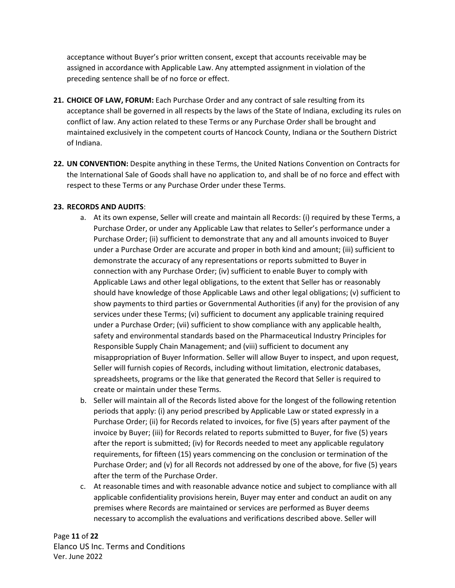acceptance without Buyer's prior written consent, except that accounts receivable may be assigned in accordance with Applicable Law. Any attempted assignment in violation of the preceding sentence shall be of no force or effect.

- **21. CHOICE OF LAW, FORUM:** Each Purchase Order and any contract of sale resulting from its acceptance shall be governed in all respects by the laws of the State of Indiana, excluding its rules on conflict of law. Any action related to these Terms or any Purchase Order shall be brought and maintained exclusively in the competent courts of Hancock County, Indiana or the Southern District of Indiana.
- **22. UN CONVENTION:** Despite anything in these Terms, the United Nations Convention on Contracts for the International Sale of Goods shall have no application to, and shall be of no force and effect with respect to these Terms or any Purchase Order under these Terms.

# **23. RECORDS AND AUDITS**:

- a. At its own expense, Seller will create and maintain all Records: (i) required by these Terms, a Purchase Order, or under any Applicable Law that relates to Seller's performance under a Purchase Order; (ii) sufficient to demonstrate that any and all amounts invoiced to Buyer under a Purchase Order are accurate and proper in both kind and amount; (iii) sufficient to demonstrate the accuracy of any representations or reports submitted to Buyer in connection with any Purchase Order; (iv) sufficient to enable Buyer to comply with Applicable Laws and other legal obligations, to the extent that Seller has or reasonably should have knowledge of those Applicable Laws and other legal obligations; (v) sufficient to show payments to third parties or Governmental Authorities (if any) for the provision of any services under these Terms; (vi) sufficient to document any applicable training required under a Purchase Order; (vii) sufficient to show compliance with any applicable health, safety and environmental standards based on the Pharmaceutical Industry Principles for Responsible Supply Chain Management; and (viii) sufficient to document any misappropriation of Buyer Information. Seller will allow Buyer to inspect, and upon request, Seller will furnish copies of Records, including without limitation, electronic databases, spreadsheets, programs or the like that generated the Record that Seller is required to create or maintain under these Terms.
- b. Seller will maintain all of the Records listed above for the longest of the following retention periods that apply: (i) any period prescribed by Applicable Law or stated expressly in a Purchase Order; (ii) for Records related to invoices, for five (5) years after payment of the invoice by Buyer; (iii) for Records related to reports submitted to Buyer, for five (5) years after the report is submitted; (iv) for Records needed to meet any applicable regulatory requirements, for fifteen (15) years commencing on the conclusion or termination of the Purchase Order; and (v) for all Records not addressed by one of the above, for five (5) years after the term of the Purchase Order.
- c. At reasonable times and with reasonable advance notice and subject to compliance with all applicable confidentiality provisions herein, Buyer may enter and conduct an audit on any premises where Records are maintained or services are performed as Buyer deems necessary to accomplish the evaluations and verifications described above. Seller will

Page **11** of **22** Elanco US Inc. Terms and Conditions Ver. June 2022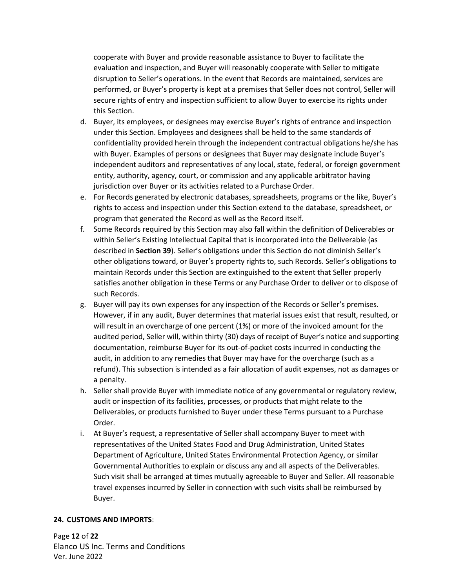cooperate with Buyer and provide reasonable assistance to Buyer to facilitate the evaluation and inspection, and Buyer will reasonably cooperate with Seller to mitigate disruption to Seller's operations. In the event that Records are maintained, services are performed, or Buyer's property is kept at a premises that Seller does not control, Seller will secure rights of entry and inspection sufficient to allow Buyer to exercise its rights under this Section.

- d. Buyer, its employees, or designees may exercise Buyer's rights of entrance and inspection under this Section. Employees and designees shall be held to the same standards of confidentiality provided herein through the independent contractual obligations he/she has with Buyer. Examples of persons or designees that Buyer may designate include Buyer's independent auditors and representatives of any local, state, federal, or foreign government entity, authority, agency, court, or commission and any applicable arbitrator having jurisdiction over Buyer or its activities related to a Purchase Order.
- e. For Records generated by electronic databases, spreadsheets, programs or the like, Buyer's rights to access and inspection under this Section extend to the database, spreadsheet, or program that generated the Record as well as the Record itself.
- f. Some Records required by this Section may also fall within the definition of Deliverables or within Seller's Existing Intellectual Capital that is incorporated into the Deliverable (as described in **Section 39**). Seller's obligations under this Section do not diminish Seller's other obligations toward, or Buyer's property rights to, such Records. Seller's obligations to maintain Records under this Section are extinguished to the extent that Seller properly satisfies another obligation in these Terms or any Purchase Order to deliver or to dispose of such Records.
- g. Buyer will pay its own expenses for any inspection of the Records or Seller's premises. However, if in any audit, Buyer determines that material issues exist that result, resulted, or will result in an overcharge of one percent (1%) or more of the invoiced amount for the audited period, Seller will, within thirty (30) days of receipt of Buyer's notice and supporting documentation, reimburse Buyer for its out-of-pocket costs incurred in conducting the audit, in addition to any remedies that Buyer may have for the overcharge (such as a refund). This subsection is intended as a fair allocation of audit expenses, not as damages or a penalty.
- h. Seller shall provide Buyer with immediate notice of any governmental or regulatory review, audit or inspection of its facilities, processes, or products that might relate to the Deliverables, or products furnished to Buyer under these Terms pursuant to a Purchase Order.
- i. At Buyer's request, a representative of Seller shall accompany Buyer to meet with representatives of the United States Food and Drug Administration, United States Department of Agriculture, United States Environmental Protection Agency, or similar Governmental Authorities to explain or discuss any and all aspects of the Deliverables. Such visit shall be arranged at times mutually agreeable to Buyer and Seller. All reasonable travel expenses incurred by Seller in connection with such visits shall be reimbursed by Buyer.

# **24. CUSTOMS AND IMPORTS**:

Page **12** of **22** Elanco US Inc. Terms and Conditions Ver. June 2022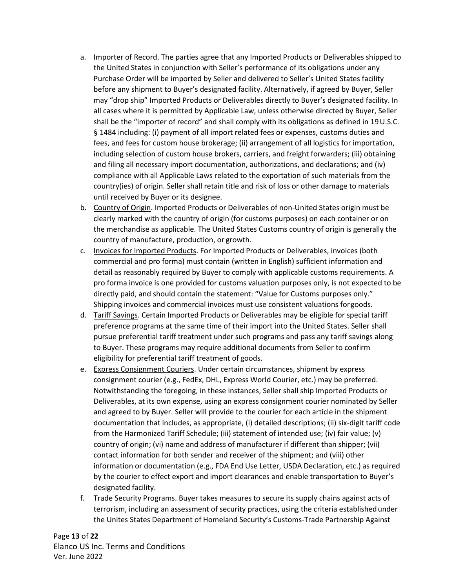- a. Importer of Record. The parties agree that any Imported Products or Deliverables shipped to the United States in conjunction with Seller's performance of its obligations under any Purchase Order will be imported by Seller and delivered to Seller's United States facility before any shipment to Buyer's designated facility. Alternatively, if agreed by Buyer, Seller may "drop ship" Imported Products or Deliverables directly to Buyer's designated facility. In all cases where it is permitted by Applicable Law, unless otherwise directed by Buyer, Seller shall be the "importer of record" and shall comply with its obligations as defined in 19U.S.C. § 1484 including: (i) payment of all import related fees or expenses, customs duties and fees, and fees for custom house brokerage; (ii) arrangement of all logistics for importation, including selection of custom house brokers, carriers, and freight forwarders; (iii) obtaining and filing all necessary import documentation, authorizations, and declarations; and (iv) compliance with all Applicable Laws related to the exportation of such materials from the country(ies) of origin. Seller shall retain title and risk of loss or other damage to materials until received by Buyer or its designee.
- b. Country of Origin. Imported Products or Deliverables of non-United States origin must be clearly marked with the country of origin (for customs purposes) on each container or on the merchandise as applicable. The United States Customs country of origin is generally the country of manufacture, production, or growth.
- c. Invoices for Imported Products. For Imported Products or Deliverables, invoices (both commercial and pro forma) must contain (written in English) sufficient information and detail as reasonably required by Buyer to comply with applicable customs requirements. A pro forma invoice is one provided for customs valuation purposes only, is not expected to be directly paid, and should contain the statement: "Value for Customs purposes only." Shipping invoices and commercial invoices must use consistent valuations forgoods.
- d. Tariff Savings. Certain Imported Products or Deliverables may be eligible for special tariff preference programs at the same time of their import into the United States. Seller shall pursue preferential tariff treatment under such programs and pass any tariff savings along to Buyer. These programs may require additional documents from Seller to confirm eligibility for preferential tariff treatment of goods.
- e. Express Consignment Couriers. Under certain circumstances, shipment by express consignment courier (e.g., FedEx, DHL, Express World Courier, etc.) may be preferred. Notwithstanding the foregoing, in these instances, Seller shall ship Imported Products or Deliverables, at its own expense, using an express consignment courier nominated by Seller and agreed to by Buyer. Seller will provide to the courier for each article in the shipment documentation that includes, as appropriate, (i) detailed descriptions; (ii) six-digit tariff code from the Harmonized Tariff Schedule; (iii) statement of intended use; (iv) fair value; (v) country of origin; (vi) name and address of manufacturer if different than shipper; (vii) contact information for both sender and receiver of the shipment; and (viii) other information or documentation (e.g., FDA End Use Letter, USDA Declaration, etc.) as required by the courier to effect export and import clearances and enable transportation to Buyer's designated facility.
- f. Trade Security Programs. Buyer takes measures to secure its supply chains against acts of terrorism, including an assessment of security practices, using the criteria establishedunder the Unites States Department of Homeland Security's Customs-Trade Partnership Against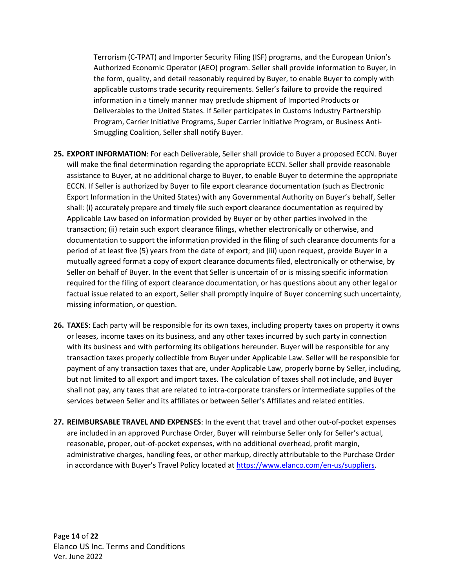Terrorism (C-TPAT) and Importer Security Filing (ISF) programs, and the European Union's Authorized Economic Operator (AEO) program. Seller shall provide information to Buyer, in the form, quality, and detail reasonably required by Buyer, to enable Buyer to comply with applicable customs trade security requirements. Seller's failure to provide the required information in a timely manner may preclude shipment of Imported Products or Deliverables to the United States. If Seller participates in Customs Industry Partnership Program, Carrier Initiative Programs, Super Carrier Initiative Program, or Business Anti-Smuggling Coalition, Seller shall notify Buyer.

- **25. EXPORT INFORMATION**: For each Deliverable, Seller shall provide to Buyer a proposed ECCN. Buyer will make the final determination regarding the appropriate ECCN. Seller shall provide reasonable assistance to Buyer, at no additional charge to Buyer, to enable Buyer to determine the appropriate ECCN. If Seller is authorized by Buyer to file export clearance documentation (such as Electronic Export Information in the United States) with any Governmental Authority on Buyer's behalf, Seller shall: (i) accurately prepare and timely file such export clearance documentation as required by Applicable Law based on information provided by Buyer or by other parties involved in the transaction; (ii) retain such export clearance filings, whether electronically or otherwise, and documentation to support the information provided in the filing of such clearance documents for a period of at least five (5) years from the date of export; and (iii) upon request, provide Buyer in a mutually agreed format a copy of export clearance documents filed, electronically or otherwise, by Seller on behalf of Buyer. In the event that Seller is uncertain of or is missing specific information required for the filing of export clearance documentation, or has questions about any other legal or factual issue related to an export, Seller shall promptly inquire of Buyer concerning such uncertainty, missing information, or question.
- **26. TAXES**: Each party will be responsible for its own taxes, including property taxes on property it owns or leases, income taxes on its business, and any other taxes incurred by such party in connection with its business and with performing its obligations hereunder. Buyer will be responsible for any transaction taxes properly collectible from Buyer under Applicable Law. Seller will be responsible for payment of any transaction taxes that are, under Applicable Law, properly borne by Seller, including, but not limited to all export and import taxes. The calculation of taxes shall not include, and Buyer shall not pay, any taxes that are related to intra-corporate transfers or intermediate supplies of the services between Seller and its affiliates or between Seller's Affiliates and related entities.
- **27. REIMBURSABLE TRAVEL AND EXPENSES**: In the event that travel and other out-of-pocket expenses are included in an approved Purchase Order, Buyer will reimburse Seller only for Seller's actual, reasonable, proper, out-of-pocket expenses, with no additional overhead, profit margin, administrative charges, handling fees, or other markup, directly attributable to the Purchase Order in accordance with Buyer's Travel Policy located at [https://www.elanco.com/en-us/suppliers.](https://www.elanco.com/en-us/suppliers)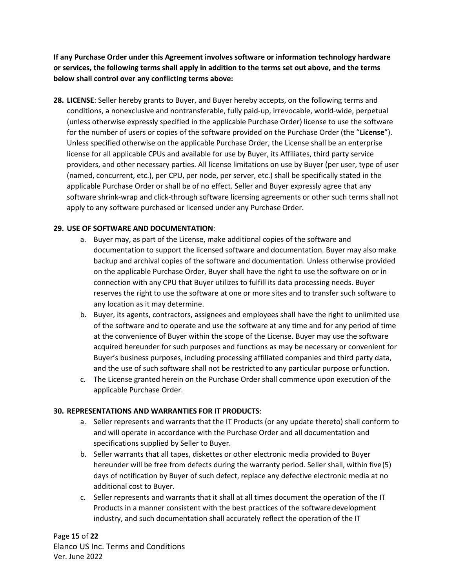**If any Purchase Order under this Agreement involves software or information technology hardware or services, the following terms shall apply in addition to the terms set out above, and the terms below shall control over any conflicting terms above:**

**28. LICENSE**: Seller hereby grants to Buyer, and Buyer hereby accepts, on the following terms and conditions, a nonexclusive and nontransferable, fully paid-up, irrevocable, world-wide, perpetual (unless otherwise expressly specified in the applicable Purchase Order) license to use the software for the number of users or copies of the software provided on the Purchase Order (the "**License**"). Unless specified otherwise on the applicable Purchase Order, the License shall be an enterprise license for all applicable CPUs and available for use by Buyer, its Affiliates, third party service providers, and other necessary parties. All license limitations on use by Buyer (per user, type of user (named, concurrent, etc.), per CPU, per node, per server, etc.) shall be specifically stated in the applicable Purchase Order or shall be of no effect. Seller and Buyer expressly agree that any software shrink-wrap and click-through software licensing agreements or other such terms shall not apply to any software purchased or licensed under any Purchase Order.

# **29. USE OF SOFTWARE AND DOCUMENTATION**:

- a. Buyer may, as part of the License, make additional copies of the software and documentation to support the licensed software and documentation. Buyer may also make backup and archival copies of the software and documentation. Unless otherwise provided on the applicable Purchase Order, Buyer shall have the right to use the software on or in connection with any CPU that Buyer utilizes to fulfill its data processing needs. Buyer reserves the right to use the software at one or more sites and to transfer such software to any location as it may determine.
- b. Buyer, its agents, contractors, assignees and employees shall have the right to unlimited use of the software and to operate and use the software at any time and for any period of time at the convenience of Buyer within the scope of the License. Buyer may use the software acquired hereunder for such purposes and functions as may be necessary or convenient for Buyer's business purposes, including processing affiliated companies and third party data, and the use of such software shall not be restricted to any particular purpose orfunction.
- c. The License granted herein on the Purchase Order shall commence upon execution of the applicable Purchase Order.

# **30. REPRESENTATIONS AND WARRANTIES FOR IT PRODUCTS**:

- a. Seller represents and warrants that the IT Products (or any update thereto) shall conform to and will operate in accordance with the Purchase Order and all documentation and specifications supplied by Seller to Buyer.
- b. Seller warrants that all tapes, diskettes or other electronic media provided to Buyer hereunder will be free from defects during the warranty period. Seller shall, within five(5) days of notification by Buyer of such defect, replace any defective electronic media at no additional cost to Buyer.
- c. Seller represents and warrants that it shall at all times document the operation of the IT Products in a manner consistent with the best practices of the software development industry, and such documentation shall accurately reflect the operation of the IT

Page **15** of **22** Elanco US Inc. Terms and Conditions Ver. June 2022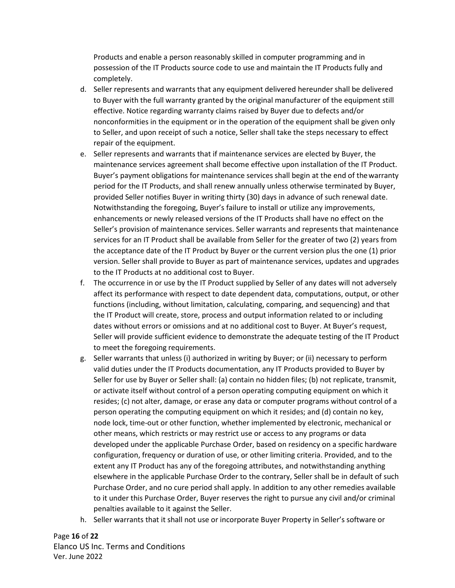Products and enable a person reasonably skilled in computer programming and in possession of the IT Products source code to use and maintain the IT Products fully and completely.

- d. Seller represents and warrants that any equipment delivered hereunder shall be delivered to Buyer with the full warranty granted by the original manufacturer of the equipment still effective. Notice regarding warranty claims raised by Buyer due to defects and/or nonconformities in the equipment or in the operation of the equipment shall be given only to Seller, and upon receipt of such a notice, Seller shall take the steps necessary to effect repair of the equipment.
- e. Seller represents and warrants that if maintenance services are elected by Buyer, the maintenance services agreement shall become effective upon installation of the IT Product. Buyer's payment obligations for maintenance services shall begin at the end of thewarranty period for the IT Products, and shall renew annually unless otherwise terminated by Buyer, provided Seller notifies Buyer in writing thirty (30) days in advance of such renewal date. Notwithstanding the foregoing, Buyer's failure to install or utilize any improvements, enhancements or newly released versions of the IT Products shall have no effect on the Seller's provision of maintenance services. Seller warrants and represents that maintenance services for an IT Product shall be available from Seller for the greater of two (2) years from the acceptance date of the IT Product by Buyer or the current version plus the one (1) prior version. Seller shall provide to Buyer as part of maintenance services, updates and upgrades to the IT Products at no additional cost to Buyer.
- f. The occurrence in or use by the IT Product supplied by Seller of any dates will not adversely affect its performance with respect to date dependent data, computations, output, or other functions (including, without limitation, calculating, comparing, and sequencing) and that the IT Product will create, store, process and output information related to or including dates without errors or omissions and at no additional cost to Buyer. At Buyer's request, Seller will provide sufficient evidence to demonstrate the adequate testing of the IT Product to meet the foregoing requirements.
- g. Seller warrants that unless (i) authorized in writing by Buyer; or (ii) necessary to perform valid duties under the IT Products documentation, any IT Products provided to Buyer by Seller for use by Buyer or Seller shall: (a) contain no hidden files; (b) not replicate, transmit, or activate itself without control of a person operating computing equipment on which it resides; (c) not alter, damage, or erase any data or computer programs without control of a person operating the computing equipment on which it resides; and (d) contain no key, node lock, time-out or other function, whether implemented by electronic, mechanical or other means, which restricts or may restrict use or access to any programs or data developed under the applicable Purchase Order, based on residency on a specific hardware configuration, frequency or duration of use, or other limiting criteria. Provided, and to the extent any IT Product has any of the foregoing attributes, and notwithstanding anything elsewhere in the applicable Purchase Order to the contrary, Seller shall be in default of such Purchase Order, and no cure period shall apply. In addition to any other remedies available to it under this Purchase Order, Buyer reserves the right to pursue any civil and/or criminal penalties available to it against the Seller.
- h. Seller warrants that it shall not use or incorporate Buyer Property in Seller's software or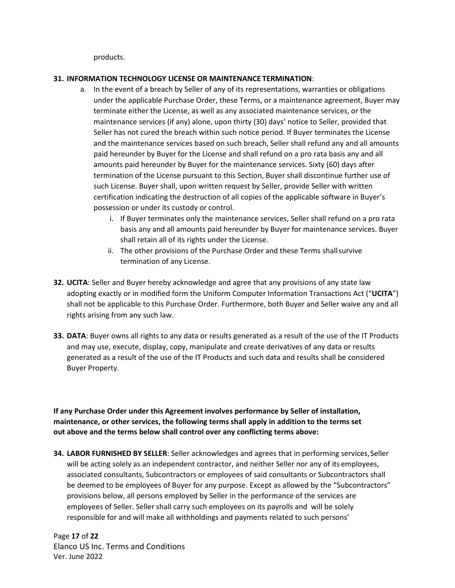products.

## **31. INFORMATION TECHNOLOGY LICENSE OR MAINTENANCE TERMINATION**:

- a. In the event of a breach by Seller of any of its representations, warranties or obligations under the applicable Purchase Order, these Terms, or a maintenance agreement, Buyer may terminate either the License, as well as any associated maintenance services, or the maintenance services (if any) alone, upon thirty (30) days' notice to Seller, provided that Seller has not cured the breach within such notice period. If Buyer terminates the License and the maintenance services based on such breach, Seller shall refund any and all amounts paid hereunder by Buyer for the License and shall refund on a pro rata basis any and all amounts paid hereunder by Buyer for the maintenance services. Sixty (60) days after termination of the License pursuant to this Section, Buyer shall discontinue further use of such License. Buyer shall, upon written request by Seller, provide Seller with written certification indicating the destruction of all copies of the applicable software in Buyer's possession or under its custody or control.
	- i. If Buyer terminates only the maintenance services, Seller shall refund on a pro rata basis any and all amounts paid hereunder by Buyer for maintenance services. Buyer shall retain all of its rights under the License.
	- ii. The other provisions of the Purchase Order and these Terms shallsurvive termination of any License.
- **32. UCITA**: Seller and Buyer hereby acknowledge and agree that any provisions of any state law adopting exactly or in modified form the Uniform Computer Information Transactions Act ("**UCITA**") shall not be applicable to this Purchase Order. Furthermore, both Buyer and Seller waive any and all rights arising from any such law.
- **33. DATA**: Buyer owns all rights to any data or results generated as a result of the use of the IT Products and may use, execute, display, copy, manipulate and create derivatives of any data or results generated as a result of the use of the IT Products and such data and results shall be considered Buyer Property.

**If any Purchase Order under this Agreement involves performance by Seller of installation, maintenance, or other services, the following terms shall apply in addition to the terms set out above and the terms below shall control over any conflicting terms above:**

**34. LABOR FURNISHED BY SELLER**: Seller acknowledges and agrees that in performing services,Seller will be acting solely as an independent contractor, and neither Seller nor any of its employees, associated consultants, Subcontractors or employees of said consultants or Subcontractors shall be deemed to be employees of Buyer for any purpose. Except as allowed by the "Subcontractors" provisions below, all persons employed by Seller in the performance of the services are employees of Seller. Seller shall carry such employees on its payrolls and will be solely responsible for and will make all withholdings and payments related to such persons'

Page **17** of **22** Elanco US Inc. Terms and Conditions Ver. June 2022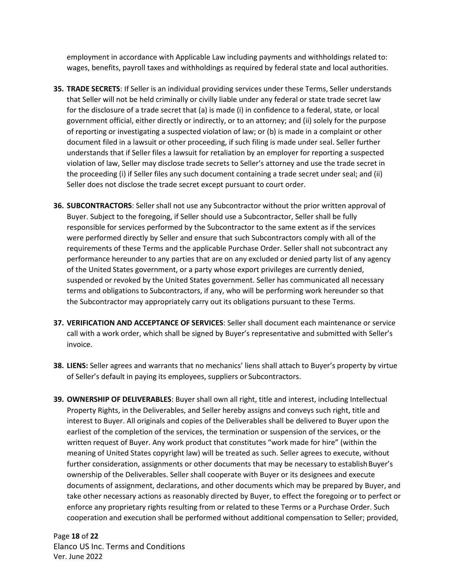employment in accordance with Applicable Law including payments and withholdings related to: wages, benefits, payroll taxes and withholdings as required by federal state and local authorities.

- **35. TRADE SECRETS**: If Seller is an individual providing services under these Terms, Seller understands that Seller will not be held criminally or civilly liable under any federal or state trade secret law for the disclosure of a trade secret that (a) is made (i) in confidence to a federal, state, or local government official, either directly or indirectly, or to an attorney; and (ii) solely for the purpose of reporting or investigating a suspected violation of law; or (b) is made in a complaint or other document filed in a lawsuit or other proceeding, if such filing is made under seal. Seller further understands that if Seller files a lawsuit for retaliation by an employer for reporting a suspected violation of law, Seller may disclose trade secrets to Seller's attorney and use the trade secret in the proceeding (i) if Seller files any such document containing a trade secret under seal; and (ii) Seller does not disclose the trade secret except pursuant to court order.
- **36. SUBCONTRACTORS**: Seller shall not use any Subcontractor without the prior written approval of Buyer. Subject to the foregoing, if Seller should use a Subcontractor, Seller shall be fully responsible for services performed by the Subcontractor to the same extent as if the services were performed directly by Seller and ensure that such Subcontractors comply with all of the requirements of these Terms and the applicable Purchase Order. Seller shall not subcontract any performance hereunder to any parties that are on any excluded or denied party list of any agency of the United States government, or a party whose export privileges are currently denied, suspended or revoked by the United States government. Seller has communicated all necessary terms and obligations to Subcontractors, if any, who will be performing work hereunder so that the Subcontractor may appropriately carry out its obligations pursuant to these Terms.
- **37. VERIFICATION AND ACCEPTANCE OF SERVICES**: Seller shall document each maintenance or service call with a work order, which shall be signed by Buyer's representative and submitted with Seller's invoice.
- **38. LIENS:** Seller agrees and warrants that no mechanics' liens shall attach to Buyer's property by virtue of Seller's default in paying its employees, suppliers or Subcontractors.
- **39. OWNERSHIP OF DELIVERABLES**: Buyer shall own all right, title and interest, including Intellectual Property Rights, in the Deliverables, and Seller hereby assigns and conveys such right, title and interest to Buyer. All originals and copies of the Deliverables shall be delivered to Buyer upon the earliest of the completion of the services, the termination or suspension of the services, or the written request of Buyer. Any work product that constitutes "work made for hire" (within the meaning of United States copyright law) will be treated as such. Seller agrees to execute, without further consideration, assignments or other documents that may be necessary to establish Buyer's ownership of the Deliverables. Seller shall cooperate with Buyer or its designees and execute documents of assignment, declarations, and other documents which may be prepared by Buyer, and take other necessary actions as reasonably directed by Buyer, to effect the foregoing or to perfect or enforce any proprietary rights resulting from or related to these Terms or a Purchase Order. Such cooperation and execution shall be performed without additional compensation to Seller; provided,

Page **18** of **22** Elanco US Inc. Terms and Conditions Ver. June 2022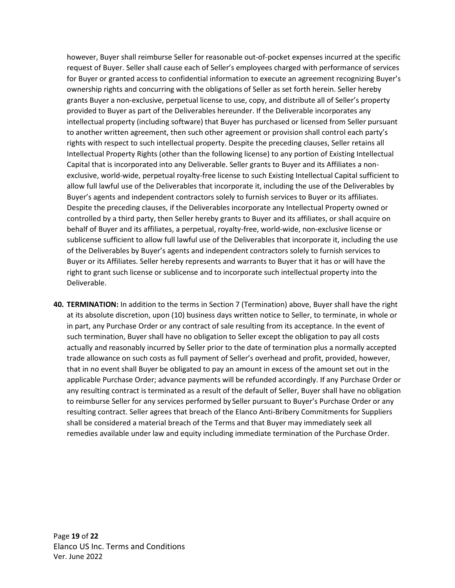however, Buyer shall reimburse Seller for reasonable out-of-pocket expenses incurred at the specific request of Buyer. Seller shall cause each of Seller's employees charged with performance of services for Buyer or granted access to confidential information to execute an agreement recognizing Buyer's ownership rights and concurring with the obligations of Seller as set forth herein. Seller hereby grants Buyer a non-exclusive, perpetual license to use, copy, and distribute all of Seller's property provided to Buyer as part of the Deliverables hereunder. If the Deliverable incorporates any intellectual property (including software) that Buyer has purchased or licensed from Seller pursuant to another written agreement, then such other agreement or provision shall control each party's rights with respect to such intellectual property. Despite the preceding clauses, Seller retains all Intellectual Property Rights (other than the following license) to any portion of Existing Intellectual Capital that is incorporated into any Deliverable. Seller grants to Buyer and its Affiliates a nonexclusive, world-wide, perpetual royalty-free license to such Existing Intellectual Capital sufficient to allow full lawful use of the Deliverables that incorporate it, including the use of the Deliverables by Buyer's agents and independent contractors solely to furnish services to Buyer or its affiliates. Despite the preceding clauses, if the Deliverables incorporate any Intellectual Property owned or controlled by a third party, then Seller hereby grants to Buyer and its affiliates, or shall acquire on behalf of Buyer and its affiliates, a perpetual, royalty-free, world-wide, non-exclusive license or sublicense sufficient to allow full lawful use of the Deliverables that incorporate it, including the use of the Deliverables by Buyer's agents and independent contractors solely to furnish services to Buyer or its Affiliates. Seller hereby represents and warrants to Buyer that it has or will have the right to grant such license or sublicense and to incorporate such intellectual property into the Deliverable.

**40. TERMINATION:** In addition to the terms in Section 7 (Termination) above, Buyer shall have the right at its absolute discretion, upon (10) business days written notice to Seller, to terminate, in whole or in part, any Purchase Order or any contract of sale resulting from its acceptance. In the event of such termination, Buyer shall have no obligation to Seller except the obligation to pay all costs actually and reasonably incurred by Seller prior to the date of termination plus a normally accepted trade allowance on such costs as full payment of Seller's overhead and profit, provided, however, that in no event shall Buyer be obligated to pay an amount in excess of the amount set out in the applicable Purchase Order; advance payments will be refunded accordingly. If any Purchase Order or any resulting contract is terminated as a result of the default of Seller, Buyer shall have no obligation to reimburse Seller for any services performed by Seller pursuant to Buyer's Purchase Order or any resulting contract. Seller agrees that breach of the Elanco Anti-Bribery Commitments for Suppliers shall be considered a material breach of the Terms and that Buyer may immediately seek all remedies available under law and equity including immediate termination of the Purchase Order.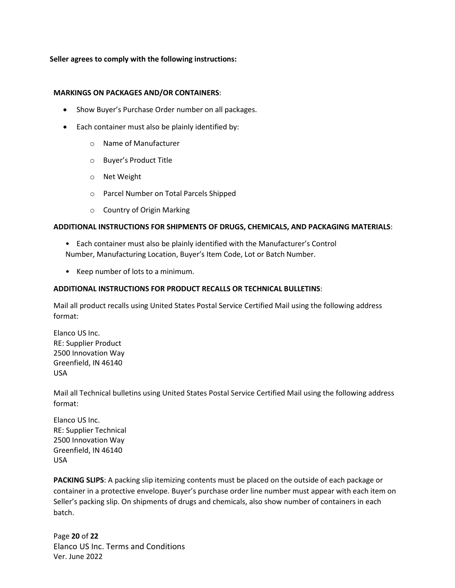#### **Seller agrees to comply with the following instructions:**

#### **MARKINGS ON PACKAGES AND/OR CONTAINERS**:

- Show Buyer's Purchase Order number on all packages.
- Each container must also be plainly identified by:
	- o Name of Manufacturer
	- o Buyer's Product Title
	- o Net Weight
	- o Parcel Number on Total Parcels Shipped
	- o Country of Origin Marking

#### **ADDITIONAL INSTRUCTIONS FOR SHIPMENTS OF DRUGS, CHEMICALS, AND PACKAGING MATERIALS**:

- Each container must also be plainly identified with the Manufacturer's Control Number, Manufacturing Location, Buyer's Item Code, Lot or Batch Number.
- Keep number of lots to a minimum.

#### **ADDITIONAL INSTRUCTIONS FOR PRODUCT RECALLS OR TECHNICAL BULLETINS**:

Mail all product recalls using United States Postal Service Certified Mail using the following address format:

Elanco US Inc. RE: Supplier Product 2500 Innovation Way Greenfield, IN 46140 USA

Mail all Technical bulletins using United States Postal Service Certified Mail using the following address format:

Elanco US Inc. RE: Supplier Technical 2500 Innovation Way Greenfield, IN 46140 USA

**PACKING SLIPS**: A packing slip itemizing contents must be placed on the outside of each package or container in a protective envelope. Buyer's purchase order line number must appear with each item on Seller's packing slip. On shipments of drugs and chemicals, also show number of containers in each batch.

Page **20** of **22** Elanco US Inc. Terms and Conditions Ver. June 2022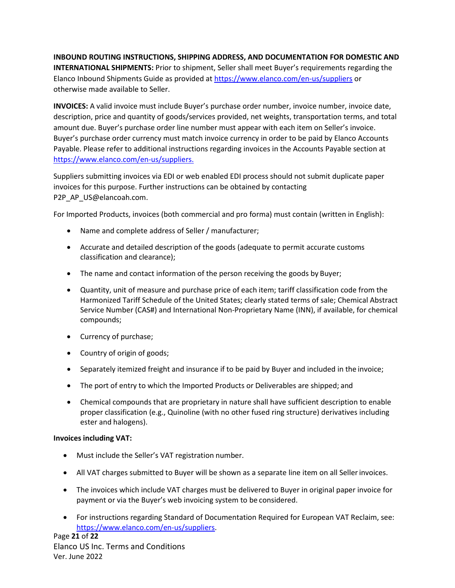## **INBOUND ROUTING INSTRUCTIONS, SHIPPING ADDRESS, AND DOCUMENTATION FOR DOMESTIC AND**

**INTERNATIONAL SHIPMENTS:** Prior to shipment, Seller shall meet Buyer's requirements regarding the Elanco Inbound Shipments Guide as provided at <https://www.elanco.com/en-us/suppliers> or otherwise made available to Seller.

**INVOICES:** A valid invoice must include Buyer's purchase order number, invoice number, invoice date, description, price and quantity of goods/services provided, net weights, transportation terms, and total amount due. Buyer's purchase order line number must appear with each item on Seller's invoice. Buyer's purchase order currency must match invoice currency in order to be paid by Elanco Accounts Payable. Please refer to additional instructions regarding invoices in the Accounts Payable section at <https://www.elanco.com/en-us/suppliers.>

Suppliers submitting invoices via EDI or web enabled EDI process should not submit duplicate paper invoices for this purpose. Further instructions can be obtained by contacting P2P\_AP\_US@elancoah.com.

For Imported Products, invoices (both commercial and pro forma) must contain (written in English):

- Name and complete address of Seller / manufacturer;
- Accurate and detailed description of the goods (adequate to permit accurate customs classification and clearance);
- The name and contact information of the person receiving the goods by Buyer;
- Quantity, unit of measure and purchase price of each item; tariff classification code from the Harmonized Tariff Schedule of the United States; clearly stated terms of sale; Chemical Abstract Service Number (CAS#) and International Non-Proprietary Name (INN), if available, for chemical compounds;
- Currency of purchase;
- Country of origin of goods;
- Separately itemized freight and insurance if to be paid by Buyer and included in the invoice;
- The port of entry to which the Imported Products or Deliverables are shipped; and
- Chemical compounds that are proprietary in nature shall have sufficient description to enable proper classification (e.g., Quinoline (with no other fused ring structure) derivatives including ester and halogens).

#### **Invoices including VAT:**

- Must include the Seller's VAT registration number.
- All VAT charges submitted to Buyer will be shown as a separate line item on all Seller invoices.
- The invoices which include VAT charges must be delivered to Buyer in original paper invoice for payment or via the Buyer's web invoicing system to be considered.
- For instructions regarding Standard of Documentation Required for European VAT Reclaim, se[e:](http://suppliers.elanco.com/) [https://www.elanco.com/en-us/suppliers.](https://www.elanco.com/en-us/suppliers)

Page **21** of **22** Elanco US Inc. Terms and Conditions Ver. June 2022